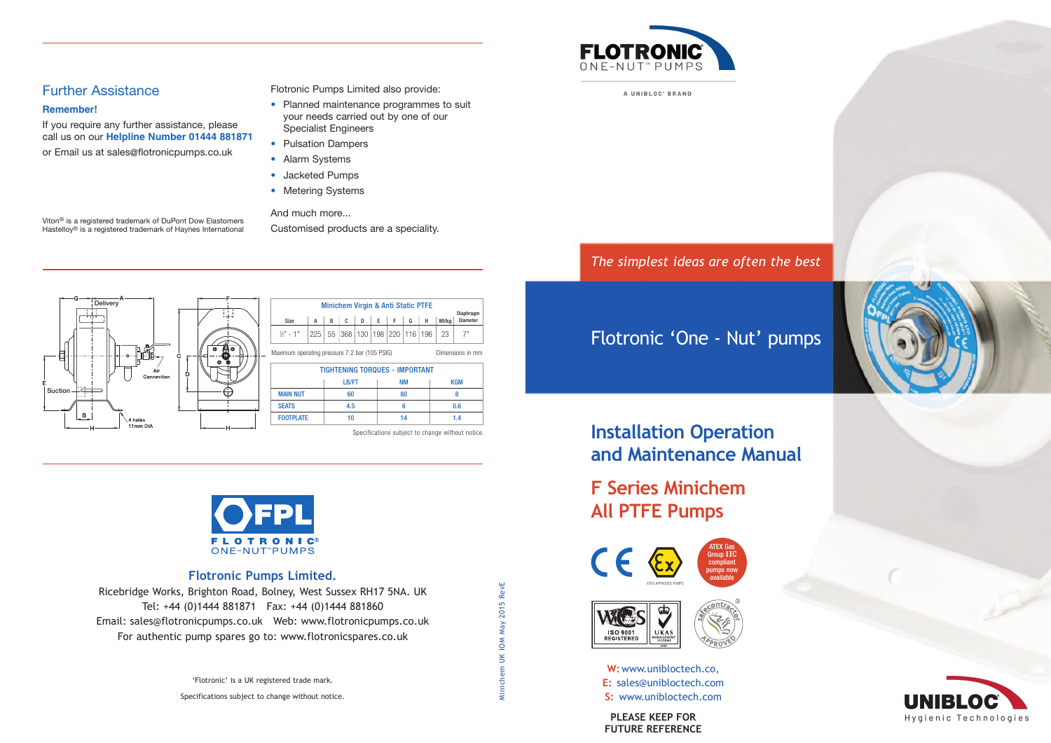

A UNIBLOC' BRAND

*The simplest ideas are often the best*

### Flotronic 'One - Nut' pumps



## **Installation Operation and Maintenance Manual**

# **F Series Minichem All PTFE Pumps**







**W:**www.unibloctech.co, **E:** sales@unibloctech.com **S:** www.unibloctech.com

**PLEASE KEEP FOR FUTURE REFERENCE**

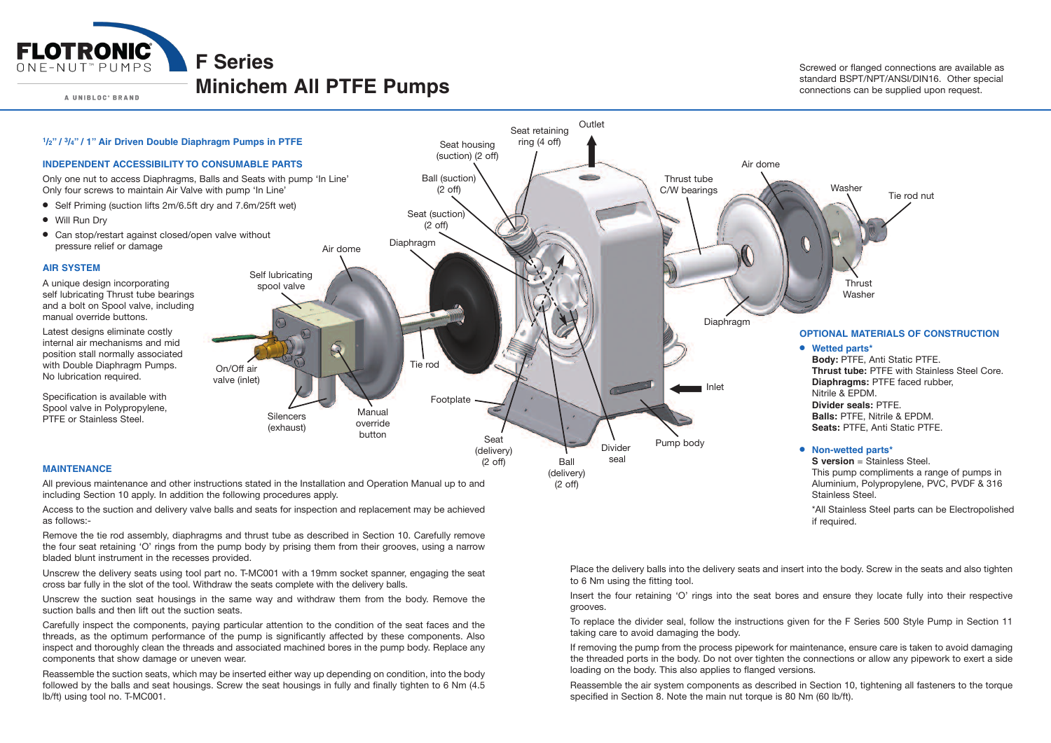

A UNIBLOC' BRAND

#### **Minichem All PTFE Pumps**

Screwed or flanged connections are available as standard BSPT/NPT/ANSI/DIN16. Other special connections can be supplied upon request.



Access to the suction and delivery valve balls and seats for inspection and replacement may be achieved as follows:-

Remove the tie rod assembly, diaphragms and thrust tube as described in Section 10. Carefully remove the four seat retaining 'O' rings from the pump body by prising them from their grooves, using <sup>a</sup> narrow bladed blunt instrument in the recesses provided.

Unscrew the delivery seats using tool part no. T-MC001 with <sup>a</sup> 19mm socket spanner, engaging the seat cross bar fully in the slot of the tool. Withdraw the seats complete with the delivery balls.

Unscrew the suction seat housings in the same way and withdraw them from the body. Remove the suction balls and then lift out the suction seats.

Carefully inspect the components, paying particular attention to the condition of the seat faces and the threads, as the optimum performance of the pump is significantly affected by these components. Also inspect and thoroughly clean the threads and associated machined bores in the pump body. Replace any components that show damage or uneven wear.

Reassemble the suction seats, which may be inserted either way up depending on condition, into the body followed by the balls and seat housings. Screw the seat housings in fully and finally tighten to 6 Nm (4.5) lb/ft) using tool no. T-MC001.

to 6 Nm using the fitting tool.

Insert the four retaining 'O' rings into the seat bores and ensure they locate fully into their respective grooves.

To replace the divider seal, follow the instructions given for the F Series 500 Style Pump in Section 11 taking care to avoid damaging the body.

If removing the pump from the process pipework for maintenance, ensure care is taken to avoid damaging the threaded ports in the body. Do not over tighten the connections or allow any pipework to exert <sup>a</sup> side loading on the body. This also applies to flanged versions.

Reassemble the air system components as described in Section 10, tightening all fasteners to the torque specified in Section 8. Note the main nut torque is 80 Nm (60 lb/ft).

Place the delivery balls into the delivery seats and insert into the body. Screw in the seats and also tighten

\*All Stainless Steel parts can be Electropolished if required.